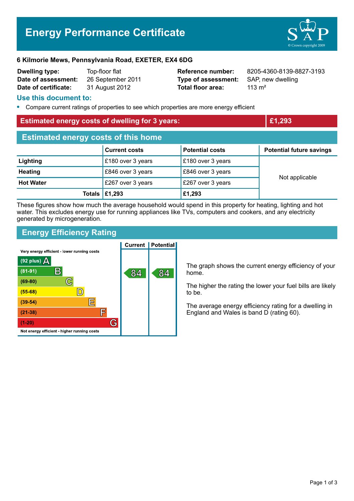# **Energy Performance Certificate**



#### **6 Kilmorie Mews, Pennsylvania Road, EXETER, EX4 6DG**

| <b>Dwelling type:</b> | Top-floor flat   |
|-----------------------|------------------|
| Date of assessment:   | 26 September 201 |
| Date of certificate:  | 31 August 2012   |

1 **Data Company 2012 Type of assessment:** SAP, new dwelling **Total floor area:** 313 m<sup>2</sup>

**Reference number:** 8205-4360-8139-8827-3193

#### **Use this document to:**

**•** Compare current ratings of properties to see which properties are more energy efficient

| <b>Estimated energy costs of dwelling for 3 years:</b> |                      | £1,293                 |                                 |  |
|--------------------------------------------------------|----------------------|------------------------|---------------------------------|--|
| <b>Estimated energy costs of this home</b>             |                      |                        |                                 |  |
|                                                        | <b>Current costs</b> | <b>Potential costs</b> | <b>Potential future savings</b> |  |
| Lighting                                               | £180 over 3 years    | £180 over 3 years      |                                 |  |
| <b>Heating</b>                                         | £846 over 3 years    | £846 over 3 years      |                                 |  |
| <b>Hot Water</b>                                       | £267 over 3 years    | £267 over 3 years      | Not applicable                  |  |
|                                                        | £1,293<br>Totals     | £1,293                 |                                 |  |
|                                                        |                      |                        |                                 |  |

These figures show how much the average household would spend in this property for heating, lighting and hot water. This excludes energy use for running appliances like TVs, computers and cookers, and any electricity generated by microgeneration.

# **Energy Efficiency Rating**

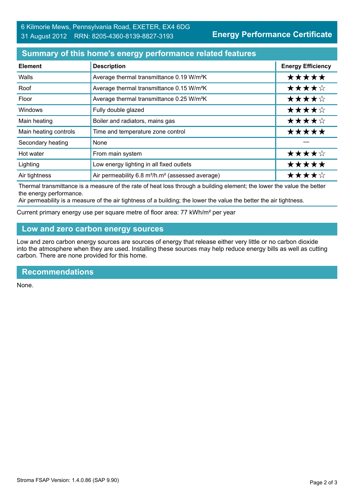### **Summary of this home's energy performance related features**

| <b>Element</b>        | <b>Description</b>                                                       | <b>Energy Efficiency</b> |
|-----------------------|--------------------------------------------------------------------------|--------------------------|
| Walls                 | Average thermal transmittance 0.19 W/m <sup>2</sup> K                    | *****                    |
| Roof                  | Average thermal transmittance 0.15 W/m <sup>2</sup> K                    | ★★★★☆                    |
| Floor                 | Average thermal transmittance 0.25 W/m <sup>2</sup> K                    | ★★★★☆                    |
| Windows               | Fully double glazed                                                      | ★★★★☆                    |
| Main heating          | Boiler and radiators, mains gas                                          | ★★★★☆                    |
| Main heating controls | Time and temperature zone control                                        | *****                    |
| Secondary heating     | None                                                                     |                          |
| Hot water             | From main system                                                         | ★★★★☆                    |
| Lighting              | Low energy lighting in all fixed outlets                                 | *****                    |
| Air tightness         | Air permeability 6.8 m <sup>3</sup> /h.m <sup>2</sup> (assessed average) | ★★★★☆                    |

Thermal transmittance is a measure of the rate of heat loss through a building element; the lower the value the better the energy performance.

Air permeability is a measure of the air tightness of a building; the lower the value the better the air tightness.

Current primary energy use per square metre of floor area: 77 kWh/m² per year

# **Low and zero carbon energy sources**

Low and zero carbon energy sources are sources of energy that release either very little or no carbon dioxide into the atmosphere when they are used. Installing these sources may help reduce energy bills as well as cutting carbon. There are none provided for this home.

#### **Recommendations**

None.